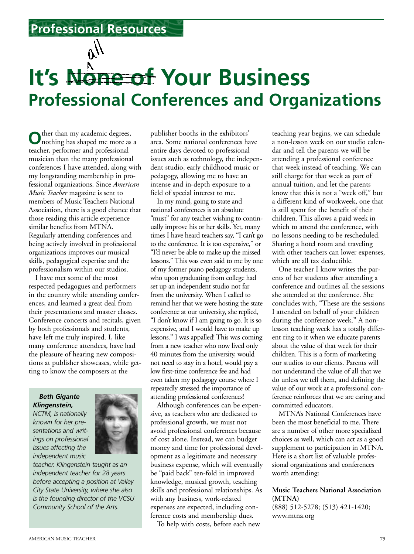**Professional Resources**

# **Professional Conferences and Organizations** It's None of Your Business

**O**ther than my academic degrees, nothing has shaped me more as a teacher, performer and professional musician than the many professional conferences I have attended, along with my longstanding membership in professional organizations. Since *American Music Teacher* magazine is sent to members of Music Teachers National Association, there is a good chance that those reading this article experience similar benefits from MTNA. Regularly attending conferences and being actively involved in professional organizations improves our musical skills, pedagogical expertise and the professionalism within our studios.

I have met some of the most respected pedagogues and performers in the country while attending conferences, and learned a great deal from their presentations and master classes. Conference concerts and recitals, given by both professionals and students, have left me truly inspired. I, like many conference attendees, have had the pleasure of hearing new compositions at publisher showcases, while getting to know the composers at the

### *Beth Gigante Klingenstein,*

*NCTM, is nationally known for her presentations and writings on professional issues affecting the independent music*



*teacher. Klingenstein taught as an independent teacher for 28 years before accepting a position at Valley City State University, where she also is the founding director of the VCSU Community School of the Arts.*

publisher booths in the exhibitors' area. Some national conferences have entire days devoted to professional issues such as technology, the independent studio, early childhood music or pedagogy, allowing me to have an intense and in-depth exposure to a field of special interest to me.

In my mind, going to state and national conferences is an absolute "must" for any teacher wishing to continually improve his or her skills. Yet, many times I have heard teachers say, "I can't go to the conference. It is too expensive," or "I'd never be able to make up the missed lessons." This was even said to me by one of my former piano pedagogy students, who upon graduating from college had set up an independent studio not far from the university. When I called to remind her that we were hosting the state conference at our university, she replied, "I don't know if I am going to go. It is so expensive, and I would have to make up lessons." I was appalled! This was coming from a new teacher who now lived only 40 minutes from the university, would not need to stay in a hotel, would pay a low first-time conference fee and had even taken my pedagogy course where I repeatedly stressed the importance of attending professional conferences!

Although conferences can be expensive, as teachers who are dedicated to professional growth, we must not avoid professional conferences because of cost alone. Instead, we can budget money and time for professional development as a legitimate and necessary business expense, which will eventually be "paid back" ten-fold in improved knowledge, musical growth, teaching skills and professional relationships. As with any business, work-related expenses are expected, including conference costs and membership dues.

To help with costs, before each new

teaching year begins, we can schedule a non-lesson week on our studio calendar and tell the parents we will be attending a professional conference that week instead of teaching. We can still charge for that week as part of annual tuition, and let the parents know that this is not a "week off," but a different kind of workweek, one that is still spent for the benefit of their children. This allows a paid week in which to attend the conference, with no lessons needing to be rescheduled. Sharing a hotel room and traveling with other teachers can lower expenses, which are all tax deductible.

One teacher I know writes the parents of her students after attending a conference and outlines all the sessions she attended at the conference. She concludes with, "These are the sessions I attended on behalf of your children during the conference week." A nonlesson teaching week has a totally different ring to it when we educate parents about the value of that week for their children. This is a form of marketing our studios to our clients. Parents will not understand the value of all that we do unless we tell them, and defining the value of our work at a professional conference reinforces that we are caring and committed educators.

MTNA's National Conferences have been the most beneficial to me. There are a number of other more specialized choices as well, which can act as a good supplement to participation in MTNA. Here is a short list of valuable professional organizations and conferences worth attending:

## **Music Teachers National Association (MTNA)**

(888) 512-5278; (513) 421-1420; www.mtna.org